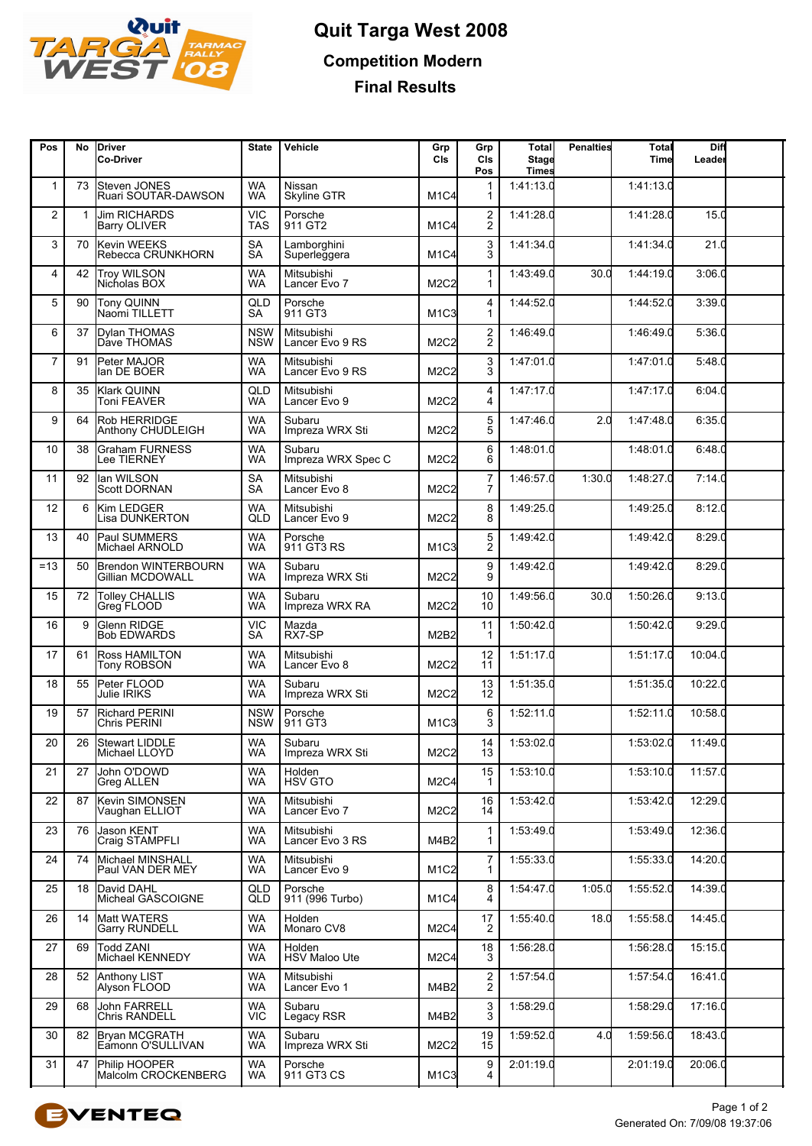

## **Quit Targa West 2008 Competition Modern Final Results**

| Pos            | No | <b>IDriver</b><br>Co-Driver                 | <b>State</b>             | Vehicle                       | Grp<br>CIs                    | Grp<br>CIs<br>Pos                         | <b>Total</b><br>Stage<br><b>Times</b> | <b>Penalties</b> | Total<br>Time | Diff<br>Leader |  |
|----------------|----|---------------------------------------------|--------------------------|-------------------------------|-------------------------------|-------------------------------------------|---------------------------------------|------------------|---------------|----------------|--|
| 1              | 73 | Steven JONES<br>Ruari SOUTAR-DAWSON         | <b>WA</b><br><b>WA</b>   | Nissan<br><b>Skyline GTR</b>  | M <sub>1</sub> C4             | -1<br>-1                                  | 1:41:13.0                             |                  | 1:41:13.0     |                |  |
| $\overline{2}$ | 1  | <b>Jim RICHARDS</b><br><b>Barry OLIVER</b>  | <b>VIC</b><br><b>TAS</b> | Porsche<br>911 GT2            | M <sub>1</sub> C <sub>4</sub> | $\overline{\mathbf{c}}$<br>$\overline{2}$ | 1:41:28.0                             |                  | 1:41:28.0     | 15.0           |  |
| 3              | 70 | Kevin WEEKS<br>Rebecca CRUNKHORN            | <b>SA</b><br><b>SA</b>   | Lamborghini<br>Superleggera   | M <sub>1</sub> C4             | 3<br>3                                    | 1:41:34.0                             |                  | 1:41:34.0     | 21.0           |  |
| 4              | 42 | Troy WILSON<br>Nicholas BOX                 | <b>WA</b><br><b>WA</b>   | Mitsubishi<br>Lancer Evo 7    | M2C2                          | $\mathbf{1}$<br>-1                        | 1:43:49.0                             | 30.0             | 1:44:19.0     | 3:06.0         |  |
| 5              | 90 | Tony QUINN<br>Naomi TILLETT                 | QLD<br>SА                | Porsche<br>911 GT3            | M <sub>1</sub> C <sub>3</sub> | 4<br>$\mathbf 1$                          | 1:44:52.0                             |                  | 1:44:52.0     | 3:39.0         |  |
| 6              | 37 | <b>Dylan THOMAS</b><br>Dave THOMAS          | <b>NSW</b><br><b>NSW</b> | Mitsubishi<br>Lancer Evo 9 RS | M <sub>2</sub> C <sub>2</sub> | $\overline{\mathbf{c}}$<br>$\overline{c}$ | 1:46:49.0                             |                  | 1:46:49C      | 5:36.0         |  |
| $\overline{7}$ | 91 | Peter MAJOR<br>lan DE BOER                  | <b>WA</b><br><b>WA</b>   | Mitsubishi<br>Lancer Evo 9 RS | M2C2                          | $\frac{3}{3}$                             | 1:47:01.0                             |                  | 1:47:01.0     | 5:48.0         |  |
| 8              | 35 | Klark QUINN<br><b>Toni FEAVER</b>           | QLD<br><b>WA</b>         | Mitsubishi<br>Lancer Evo 9    | M2C2                          | 4<br>$\overline{4}$                       | 1:47:17.0                             |                  | 1:47:17.0     | 6:04.0         |  |
| 9              | 64 | Rob HERRIDGE<br>Anthony CHUDLEIGH           | <b>WA</b><br><b>WA</b>   | Subaru<br>Impreza WRX Sti     | M2C2                          | 5<br>5                                    | 1:47:46.0                             | 2.0              | 1:47:48.0     | 6:35.0         |  |
| 10             | 38 | <b>Graham FURNESS</b><br>Lee TIERNEY        | <b>WA</b><br>WA          | Subaru<br>Impreza WRX Spec C  | M2C2                          | 6<br>6                                    | 1:48:01.0                             |                  | 1:48:01.0     | 6:48.0         |  |
| 11             | 92 | llan WILSON<br><b>Scott DORNAN</b>          | <b>SA</b><br><b>SA</b>   | Mitsubishi<br>Lancer Evo 8    | <b>M2C2</b>                   | $\overline{7}$<br>7                       | 1:46:57.0                             | 1:30.0           | 1:48:27.0     | 7:14.0         |  |
| 12             | 6  | Kim LEDGER<br><b>Lisa DUNKERTON</b>         | WA<br>QLD                | Mitsubishi<br>Lancer Evo 9    | M2C2                          | 8<br>8                                    | 1:49:25.0                             |                  | 1:49:25.0     | 8:12.0         |  |
| 13             | 40 | Paul SUMMERS<br>Michael ARNOLD              | <b>WA</b><br><b>WA</b>   | Porsche<br>911 GT3 RS         | M <sub>1</sub> C <sub>3</sub> | 5<br>$\bar{2}$                            | 1:49:42.0                             |                  | 1:49:42.0     | 8:29.0         |  |
| $=13$          | 50 | Brendon WINTERBOURN<br>Gillian MCDOWALL     | <b>WA</b><br><b>WA</b>   | Subaru<br>Impreza WRX Sti     | M2C2                          | 9<br>9                                    | 1:49:42.0                             |                  | 1:49:42.0     | 8:29.0         |  |
| 15             | 72 | <b>Tolley CHALLIS</b><br>Greg FLOOD         | <b>WA</b><br>WA          | Subaru<br>Impreza WRX RA      | M2C2                          | 10<br>10                                  | 1:49:56.0                             | 30 <sub>c</sub>  | 1:50:26.0     | 9:13.0         |  |
| 16             | 9  | Glenn RIDGE<br><b>Bob EDWARDS</b>           | <b>VIC</b><br>SA         | Mazda<br>RX7-SP               | M2B2                          | 11<br>ำ                                   | 1:50:42.0                             |                  | 1:50:42.0     | 9:29.0         |  |
| 17             | 61 | Ross HAMILTON<br><b>Tony ROBSON</b>         | <b>WA</b><br><b>WA</b>   | Mitsubishi<br>Lancer Evo 8    | <b>M2C2</b>                   | 12<br>11                                  | 1:51:17.0                             |                  | 1:51:17.0     | 10:04.0        |  |
| 18             | 55 | Peter FLOOD<br>Julie IRIKS                  | <b>WA</b><br><b>WA</b>   | Subaru<br>Impreza WRX Sti     | M2C2                          | 13<br>12                                  | 1:51:35.0                             |                  | 1:51:35.0     | 10:22.0        |  |
| 19             | 57 | <b>Richard PERINI</b><br>Chris PERINI       | <b>NSW</b><br><b>NSW</b> | Porsche<br>911 GT3            | M <sub>1</sub> C <sub>3</sub> | 6<br>3                                    | 1:52:11.0                             |                  | 1:52:11.0     | 10:58.0        |  |
| 20             |    | 26 Stewart LIDDLE<br>Michael LLOYD          | <b>WA</b><br>WA          | Subaru<br>Impreza WRX Sti     | M2C2                          | 14<br>13                                  | 1:53:02.0                             |                  | 1:53:02.0     | 11:49.0        |  |
| 21             | 27 | John O'DOWD<br><b>Greg ALLEN</b>            | <b>WA</b><br><b>WA</b>   | Holden<br><b>HSV GTO</b>      | M2C4                          | 15<br>-1                                  | 1:53:10.0                             |                  | 1:53:10.0     | 11:57.0        |  |
| 22             | 87 | Kevin SIMONSEN<br>Vaughan ELLIOT            | <b>WA</b><br>WA          | Mitsubishi<br>Lancer Evo 7    | M2C2                          | 16<br>14                                  | 1:53:42.0                             |                  | 1:53:42.0     | 12:29.0        |  |
| 23             | 76 | Jason KENT<br>Craig STAMPFLI                | <b>WA</b><br><b>WA</b>   | Mitsubishi<br>Lancer Evo 3 RS | M4B2                          | $\mathbf 1$<br>1                          | 1:53:49.0                             |                  | 1:53:49.0     | 12:36.0        |  |
| 24             | 74 | Michael MINSHALL<br>Paul VAN DER MEY        | <b>WA</b><br>WA          | Mitsubishi<br>Lancer Evo 9    | M <sub>1</sub> C <sub>2</sub> | 7<br>1                                    | 1:55:33.0                             |                  | 1:55:33.0     | 14:20.0        |  |
| 25             | 18 | David DAHL<br>Micheal GASCOIGNE             | QLD<br>QLD               | Porsche<br>911 (996 Turbo)    | M <sub>1</sub> C4             | 8<br>4                                    | 1:54:47.0                             | 1:05.0           | 1:55:52.0     | 14:39.0        |  |
| 26             | 14 | <b>Matt WATERS</b><br><b>Garry RUNDELL</b>  | <b>WA</b><br><b>WA</b>   | Holden<br>Monaro CV8          | M2C4                          | 17<br>$\overline{2}$                      | 1:55:40.0                             | 18.0             | 1:55:58.0     | 14:45.0        |  |
| 27             | 69 | Todd ZANI<br>Michael KENNEDY                | WA<br>WA                 | Holden<br>HSV Maloo Ute       | M2C4                          | 18<br>3                                   | 1:56:28.0                             |                  | 1:56:28.0     | 15:15.0        |  |
| 28             | 52 | Anthony LIST<br>Alyson FLOOD                | <b>WA</b><br>WA          | Mitsubishi<br>Lancer Evo 1    | M4B2                          | $\frac{2}{2}$                             | 1:57:54.0                             |                  | 1:57:54.0     | 16:41.0        |  |
| 29             | 68 | <b>John FARRELL</b><br><b>Chris RANDELL</b> | <b>WA</b><br><b>VIC</b>  | Subaru<br>Legacy RSR          | M4B2                          | 3<br>3                                    | 1:58:29.0                             |                  | 1:58:29.0     | 17:16.0        |  |
| 30             | 82 | Bryan MCGRATH<br>Eamonn O'SULLIVAN          | <b>WA</b><br><b>WA</b>   | Subaru<br>Impreza WRX Sti     | M2C2                          | 19<br>15                                  | 1:59:52.0                             | 4.0              | 1:59:56.0     | 18:43.0        |  |
| 31             | 47 | Philip HOOPER<br>Malcolm CROCKENBERG        | <b>WA</b><br><b>WA</b>   | Porsche<br>911 GT3 CS         | M <sub>1</sub> C <sub>3</sub> | 9<br>4                                    | 2:01:19.0                             |                  | 2:01:19.0     | 20:06.0        |  |
|                |    |                                             |                          |                               |                               |                                           |                                       |                  |               |                |  |